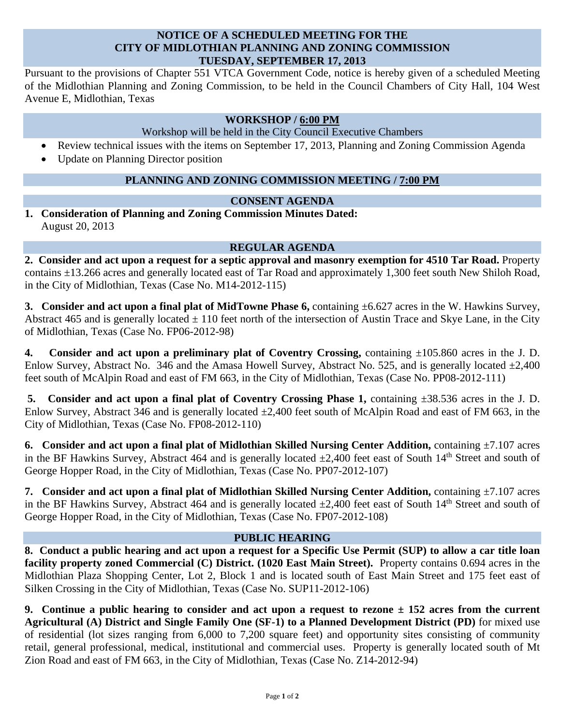## **NOTICE OF A SCHEDULED MEETING FOR THE CITY OF MIDLOTHIAN PLANNING AND ZONING COMMISSION TUESDAY, SEPTEMBER 17, 2013**

Pursuant to the provisions of Chapter 551 VTCA Government Code, notice is hereby given of a scheduled Meeting of the Midlothian Planning and Zoning Commission, to be held in the Council Chambers of City Hall, 104 West Avenue E, Midlothian, Texas

## **WORKSHOP / 6:00 PM**

Workshop will be held in the City Council Executive Chambers

- Review technical issues with the items on September 17, 2013, Planning and Zoning Commission Agenda
- Update on Planning Director position

# **PLANNING AND ZONING COMMISSION MEETING / 7:00 PM**

## **CONSENT AGENDA**

**1. Consideration of Planning and Zoning Commission Minutes Dated:**  August 20, 2013

#### **REGULAR AGENDA**

**2. Consider and act upon a request for a septic approval and masonry exemption for 4510 Tar Road.** Property contains ±13.266 acres and generally located east of Tar Road and approximately 1,300 feet south New Shiloh Road, in the City of Midlothian, Texas (Case No. M14-2012-115)

**3. Consider and act upon a final plat of MidTowne Phase 6,** containing  $\pm 6.627$  acres in the W. Hawkins Survey, Abstract 465 and is generally located  $\pm$  110 feet north of the intersection of Austin Trace and Skye Lane, in the City of Midlothian, Texas (Case No. FP06-2012-98)

**4. Consider and act upon a preliminary plat of Coventry Crossing,** containing ±105.860 acres in the J. D. Enlow Survey, Abstract No. 346 and the Amasa Howell Survey, Abstract No. 525, and is generally located  $\pm 2,400$ feet south of McAlpin Road and east of FM 663, in the City of Midlothian, Texas (Case No. PP08-2012-111)

**5.** Consider and act upon a final plat of Coventry Crossing Phase 1, containing  $\pm 38.536$  acres in the J. D. Enlow Survey, Abstract 346 and is generally located  $\pm 2,400$  feet south of McAlpin Road and east of FM 663, in the City of Midlothian, Texas (Case No. FP08-2012-110)

**6. Consider and act upon a final plat of Midlothian Skilled Nursing Center Addition, containing**  $\pm 7.107$  **acres** in the BF Hawkins Survey, Abstract 464 and is generally located  $\pm 2,400$  feet east of South 14<sup>th</sup> Street and south of George Hopper Road, in the City of Midlothian, Texas (Case No. PP07-2012-107)

**7. Consider and act upon a final plat of Midlothian Skilled Nursing Center Addition, containing**  $\pm 7.107$  **acres** in the BF Hawkins Survey, Abstract 464 and is generally located  $\pm 2.400$  feet east of South 14<sup>th</sup> Street and south of George Hopper Road, in the City of Midlothian, Texas (Case No. FP07-2012-108)

#### **PUBLIC HEARING**

**8. Conduct a public hearing and act upon a request for a Specific Use Permit (SUP) to allow a car title loan facility property zoned Commercial (C) District. (1020 East Main Street).** Property contains 0.694 acres in the Midlothian Plaza Shopping Center, Lot 2, Block 1 and is located south of East Main Street and 175 feet east of Silken Crossing in the City of Midlothian, Texas (Case No. SUP11-2012-106)

**9. Continue a public hearing to consider and act upon a request to rezone ± 152 acres from the current Agricultural (A) District and Single Family One (SF-1) to a Planned Development District (PD)** for mixed use of residential (lot sizes ranging from 6,000 to 7,200 square feet) and opportunity sites consisting of community retail, general professional, medical, institutional and commercial uses. Property is generally located south of Mt Zion Road and east of FM 663, in the City of Midlothian, Texas (Case No. Z14-2012-94)